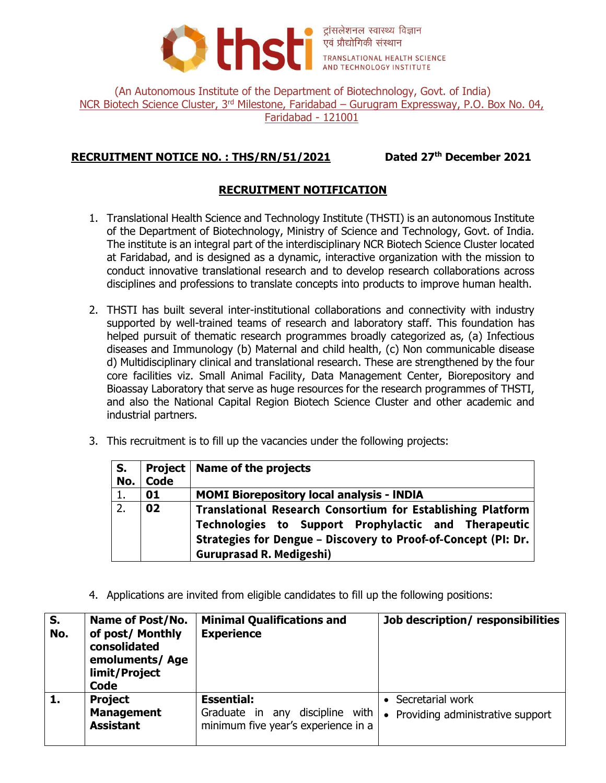

ट्रांसलेशनल स्वास्थ्य विज्ञान **Expression of the Second Avenue AVE AND TECHNOLOGY INSTITUTE** 

(An Autonomous Institute of the Department of Biotechnology, Govt. of India) NCR Biotech Science Cluster, 3<sup>rd</sup> Milestone, Faridabad – Gurugram Expressway, P.O. Box No. 04, Faridabad - 121001

# **RECRUITMENT NOTICE NO. : THS/RN/51/2021 Dated 27th December 2021**

## **RECRUITMENT NOTIFICATION**

- 1. Translational Health Science and Technology Institute (THSTI) is an autonomous Institute of the Department of Biotechnology, Ministry of Science and Technology, Govt. of India. The institute is an integral part of the interdisciplinary NCR Biotech Science Cluster located at Faridabad, and is designed as a dynamic, interactive organization with the mission to conduct innovative translational research and to develop research collaborations across disciplines and professions to translate concepts into products to improve human health.
- 2. THSTI has built several inter-institutional collaborations and connectivity with industry supported by well-trained teams of research and laboratory staff. This foundation has helped pursuit of thematic research programmes broadly categorized as, (a) Infectious diseases and Immunology (b) Maternal and child health, (c) Non communicable disease d) Multidisciplinary clinical and translational research. These are strengthened by the four core facilities viz. Small Animal Facility, Data Management Center, Biorepository and Bioassay Laboratory that serve as huge resources for the research programmes of THSTI, and also the National Capital Region Biotech Science Cluster and other academic and industrial partners.
- 3. This recruitment is to fill up the vacancies under the following projects:

| S.  |      | <b>Project   Name of the projects</b>                                                                                                                                                                                    |  |
|-----|------|--------------------------------------------------------------------------------------------------------------------------------------------------------------------------------------------------------------------------|--|
| No. | Code |                                                                                                                                                                                                                          |  |
| 1.  | 01   | <b>MOMI Biorepository local analysis - INDIA</b>                                                                                                                                                                         |  |
| 2.  | 02   | Translational Research Consortium for Establishing Platform<br>Technologies to Support Prophylactic and Therapeutic<br>Strategies for Dengue - Discovery to Proof-of-Concept (PI: Dr.<br><b>Guruprasad R. Medigeshi)</b> |  |

4. Applications are invited from eligible candidates to fill up the following positions:

| S.<br>No. | <b>Name of Post/No.</b><br>of post/ Monthly<br>consolidated<br>emoluments/Age<br>limit/Project<br>Code | <b>Minimal Qualifications and</b><br><b>Experience</b>                                            | Job description/responsibilities                                  |
|-----------|--------------------------------------------------------------------------------------------------------|---------------------------------------------------------------------------------------------------|-------------------------------------------------------------------|
|           | <b>Project</b><br><b>Management</b><br><b>Assistant</b>                                                | <b>Essential:</b><br>discipline<br>with<br>Graduate in any<br>minimum five year's experience in a | Secretarial work<br>Providing administrative support<br>$\bullet$ |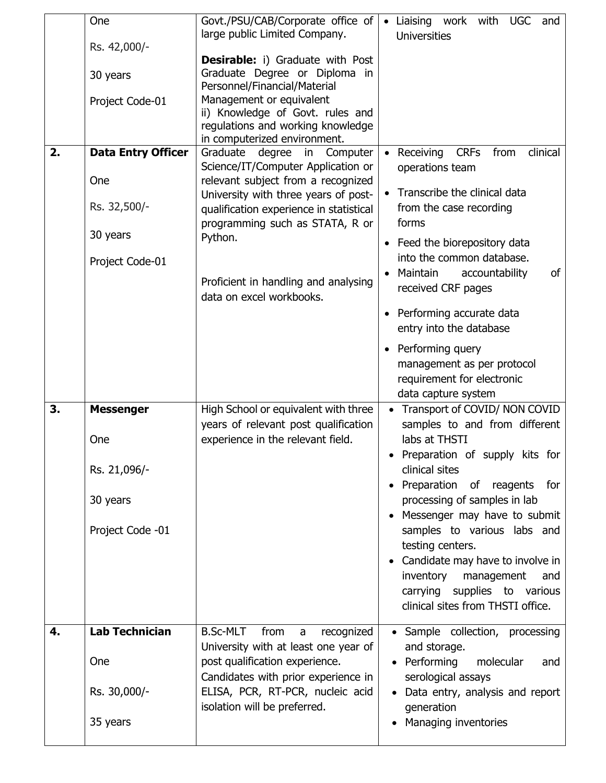|    | One                       | Govt./PSU/CAB/Corporate office of<br>large public Limited Company.              | Liaising work with<br><b>UGC</b><br>$\bullet$<br>and                                                  |
|----|---------------------------|---------------------------------------------------------------------------------|-------------------------------------------------------------------------------------------------------|
|    | Rs. 42,000/-              |                                                                                 | <b>Universities</b>                                                                                   |
|    |                           | <b>Desirable:</b> i) Graduate with Post<br>Graduate Degree or Diploma in        |                                                                                                       |
|    | 30 years                  | Personnel/Financial/Material                                                    |                                                                                                       |
|    | Project Code-01           | Management or equivalent                                                        |                                                                                                       |
|    |                           | ii) Knowledge of Govt. rules and<br>regulations and working knowledge           |                                                                                                       |
|    |                           | in computerized environment.                                                    |                                                                                                       |
| 2. | <b>Data Entry Officer</b> | Graduate degree in Computer<br>Science/IT/Computer Application or               | Receiving CRFs<br>clinical<br>from<br>operations team                                                 |
|    | One                       | relevant subject from a recognized                                              | Transcribe the clinical data                                                                          |
|    | Rs. 32,500/-              | University with three years of post-<br>qualification experience in statistical | from the case recording                                                                               |
|    | 30 years                  | programming such as STATA, R or<br>Python.                                      | forms                                                                                                 |
|    |                           |                                                                                 | • Feed the biorepository data<br>into the common database.                                            |
|    | Project Code-01           |                                                                                 | of<br>Maintain<br>accountability                                                                      |
|    |                           | Proficient in handling and analysing<br>data on excel workbooks.                | received CRF pages                                                                                    |
|    |                           |                                                                                 | Performing accurate data<br>entry into the database                                                   |
|    |                           |                                                                                 | • Performing query<br>management as per protocol<br>requirement for electronic<br>data capture system |
| 3. | <b>Messenger</b>          | High School or equivalent with three                                            | Transport of COVID/ NON COVID                                                                         |
|    |                           | years of relevant post qualification                                            | samples to and from different<br>labs at THSTI                                                        |
|    | One                       | experience in the relevant field.                                               | Preparation of supply kits for                                                                        |
|    | Rs. 21,096/-              |                                                                                 | clinical sites                                                                                        |
|    | 30 years                  |                                                                                 | Preparation of reagents<br>for<br>processing of samples in lab                                        |
|    |                           |                                                                                 | Messenger may have to submit                                                                          |
|    | Project Code -01          |                                                                                 | samples to various labs and<br>testing centers.                                                       |
|    |                           |                                                                                 | Candidate may have to involve in                                                                      |
|    |                           |                                                                                 | inventory<br>management<br>and                                                                        |
|    |                           |                                                                                 | carrying supplies to various<br>clinical sites from THSTI office.                                     |
| 4. | <b>Lab Technician</b>     | <b>B.Sc-MLT</b><br>from                                                         |                                                                                                       |
|    |                           | recognized<br>a<br>University with at least one year of                         | • Sample collection, processing<br>and storage.                                                       |
|    | <b>One</b>                | post qualification experience.                                                  | • Performing<br>molecular<br>and                                                                      |
|    |                           | Candidates with prior experience in                                             | serological assays                                                                                    |
|    | Rs. 30,000/-              | ELISA, PCR, RT-PCR, nucleic acid<br>isolation will be preferred.                | Data entry, analysis and report<br>generation                                                         |
|    | 35 years                  |                                                                                 | Managing inventories                                                                                  |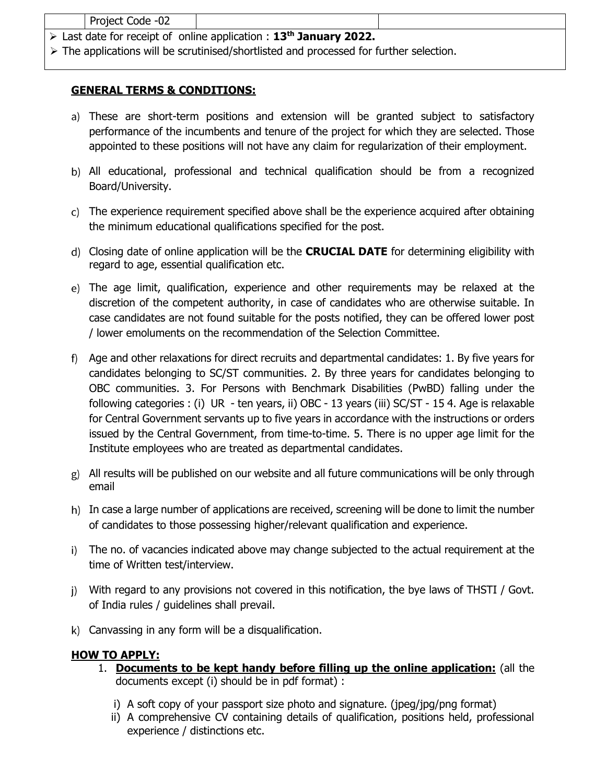| Project Code -02 |                                                                                               |  |
|------------------|-----------------------------------------------------------------------------------------------|--|
|                  | $\triangleright$ Last date for receipt of online application : 13 <sup>th</sup> January 2022. |  |

The applications will be scrutinised/shortlisted and processed for further selection.

## **GENERAL TERMS & CONDITIONS:**

- These are short-term positions and extension will be granted subject to satisfactory performance of the incumbents and tenure of the project for which they are selected. Those appointed to these positions will not have any claim for regularization of their employment.
- All educational, professional and technical qualification should be from a recognized Board/University.
- The experience requirement specified above shall be the experience acquired after obtaining the minimum educational qualifications specified for the post.
- Closing date of online application will be the **CRUCIAL DATE** for determining eligibility with regard to age, essential qualification etc.
- The age limit, qualification, experience and other requirements may be relaxed at the discretion of the competent authority, in case of candidates who are otherwise suitable. In case candidates are not found suitable for the posts notified, they can be offered lower post / lower emoluments on the recommendation of the Selection Committee.
- Age and other relaxations for direct recruits and departmental candidates: 1. By five years for candidates belonging to SC/ST communities. 2. By three years for candidates belonging to OBC communities. 3. For Persons with Benchmark Disabilities (PwBD) falling under the following categories : (i) UR - ten years, ii) OBC - 13 years (iii) SC/ST - 15 4. Age is relaxable for Central Government servants up to five years in accordance with the instructions or orders issued by the Central Government, from time-to-time. 5. There is no upper age limit for the Institute employees who are treated as departmental candidates.
- All results will be published on our website and all future communications will be only through email
- h) In case a large number of applications are received, screening will be done to limit the number of candidates to those possessing higher/relevant qualification and experience.
- The no. of vacancies indicated above may change subjected to the actual requirement at the time of Written test/interview.
- With regard to any provisions not covered in this notification, the bye laws of THSTI / Govt. of India rules / guidelines shall prevail.
- Canvassing in any form will be a disqualification.

### **HOW TO APPLY:**

- 1. **Documents to be kept handy before filling up the online application:** (all the documents except (i) should be in pdf format) :
	- i) A soft copy of your passport size photo and signature. (jpeg/jpg/png format)
	- ii) A comprehensive CV containing details of qualification, positions held, professional experience / distinctions etc.